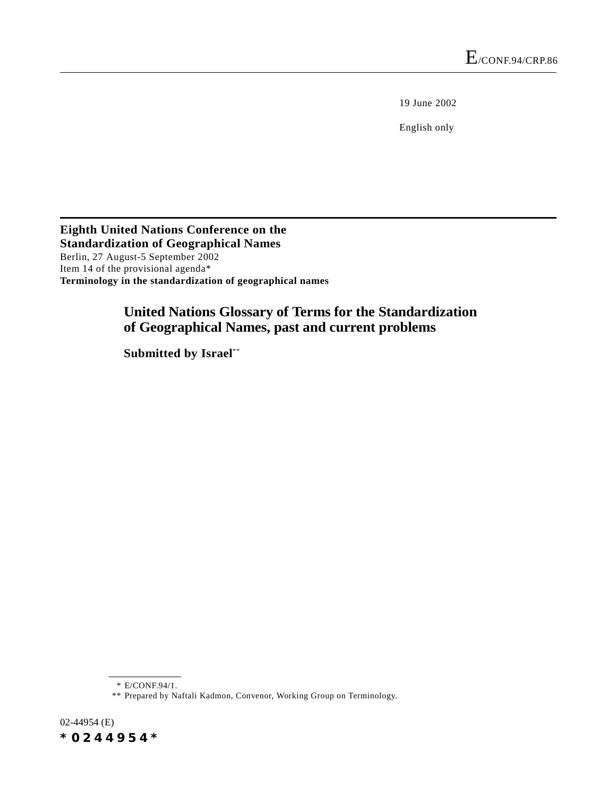19 June 2002

English only

**Eighth United Nations Conference on the Standardization of Geographical Names** Berlin, 27 August-5 September 2002 Item 14 of the provisional agenda\* **Terminology in the standardization of geographical names**

# **United Nations Glossary of Terms for the Standardization of Geographical Names, past and current problems**

**Submitted by Israel**\*\*

\* E/CONF.94/1.

02-44954 (E) *\*0244954\**

<sup>\*\*</sup> Prepared by Naftali Kadmon, Convenor, Working Group on Terminology.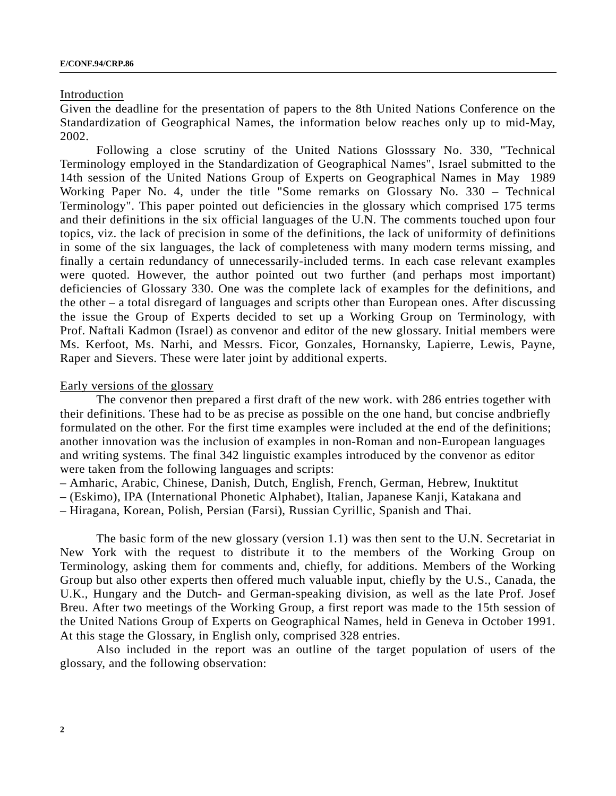#### Introduction

Given the deadline for the presentation of papers to the 8th United Nations Conference on the Standardization of Geographical Names, the information below reaches only up to mid-May, 2002.

Following a close scrutiny of the United Nations Glosssary No. 330, "Technical Terminology employed in the Standardization of Geographical Names", Israel submitted to the 14th session of the United Nations Group of Experts on Geographical Names in May 1989 Working Paper No. 4, under the title "Some remarks on Glossary No. 330 – Technical Terminology". This paper pointed out deficiencies in the glossary which comprised 175 terms and their definitions in the six official languages of the U.N. The comments touched upon four topics, viz. the lack of precision in some of the definitions, the lack of uniformity of definitions in some of the six languages, the lack of completeness with many modern terms missing, and finally a certain redundancy of unnecessarily-included terms. In each case relevant examples were quoted. However, the author pointed out two further (and perhaps most important) deficiencies of Glossary 330. One was the complete lack of examples for the definitions, and the other – a total disregard of languages and scripts other than European ones. After discussing the issue the Group of Experts decided to set up a Working Group on Terminology, with Prof. Naftali Kadmon (Israel) as convenor and editor of the new glossary. Initial members were Ms. Kerfoot, Ms. Narhi, and Messrs. Ficor, Gonzales, Hornansky, Lapierre, Lewis, Payne, Raper and Sievers. These were later joint by additional experts.

#### Early versions of the glossary

The convenor then prepared a first draft of the new work. with 286 entries together with their definitions. These had to be as precise as possible on the one hand, but concise andbriefly formulated on the other. For the first time examples were included at the end of the definitions; another innovation was the inclusion of examples in non-Roman and non-European languages and writing systems. The final 342 linguistic examples introduced by the convenor as editor were taken from the following languages and scripts:

– Amharic, Arabic, Chinese, Danish, Dutch, English, French, German, Hebrew, Inuktitut

– (Eskimo), IPA (International Phonetic Alphabet), Italian, Japanese Kanji, Katakana and

– Hiragana, Korean, Polish, Persian (Farsi), Russian Cyrillic, Spanish and Thai.

The basic form of the new glossary (version 1.1) was then sent to the U.N. Secretariat in New York with the request to distribute it to the members of the Working Group on Terminology, asking them for comments and, chiefly, for additions. Members of the Working Group but also other experts then offered much valuable input, chiefly by the U.S., Canada, the U.K., Hungary and the Dutch- and German-speaking division, as well as the late Prof. Josef Breu. After two meetings of the Working Group, a first report was made to the 15th session of the United Nations Group of Experts on Geographical Names, held in Geneva in October 1991. At this stage the Glossary, in English only, comprised 328 entries.

Also included in the report was an outline of the target population of users of the glossary, and the following observation: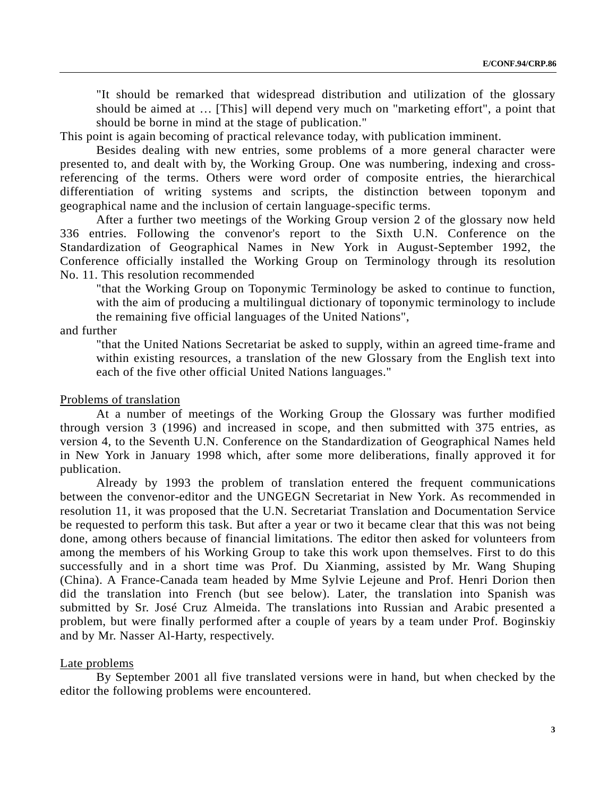"It should be remarked that widespread distribution and utilization of the glossary should be aimed at … [This] will depend very much on "marketing effort", a point that should be borne in mind at the stage of publication."

This point is again becoming of practical relevance today, with publication imminent.

Besides dealing with new entries, some problems of a more general character were presented to, and dealt with by, the Working Group. One was numbering, indexing and crossreferencing of the terms. Others were word order of composite entries, the hierarchical differentiation of writing systems and scripts, the distinction between toponym and geographical name and the inclusion of certain language-specific terms.

After a further two meetings of the Working Group version 2 of the glossary now held 336 entries. Following the convenor's report to the Sixth U.N. Conference on the Standardization of Geographical Names in New York in August-September 1992, the Conference officially installed the Working Group on Terminology through its resolution No. 11. This resolution recommended

"that the Working Group on Toponymic Terminology be asked to continue to function, with the aim of producing a multilingual dictionary of toponymic terminology to include the remaining five official languages of the United Nations",

## and further

"that the United Nations Secretariat be asked to supply, within an agreed time-frame and within existing resources, a translation of the new Glossary from the English text into each of the five other official United Nations languages."

## Problems of translation

At a number of meetings of the Working Group the Glossary was further modified through version 3 (1996) and increased in scope, and then submitted with 375 entries, as version 4, to the Seventh U.N. Conference on the Standardization of Geographical Names held in New York in January 1998 which, after some more deliberations, finally approved it for publication.

Already by 1993 the problem of translation entered the frequent communications between the convenor-editor and the UNGEGN Secretariat in New York. As recommended in resolution 11, it was proposed that the U.N. Secretariat Translation and Documentation Service be requested to perform this task. But after a year or two it became clear that this was not being done, among others because of financial limitations. The editor then asked for volunteers from among the members of his Working Group to take this work upon themselves. First to do this successfully and in a short time was Prof. Du Xianming, assisted by Mr. Wang Shuping (China). A France-Canada team headed by Mme Sylvie Lejeune and Prof. Henri Dorion then did the translation into French (but see below). Later, the translation into Spanish was submitted by Sr. José Cruz Almeida. The translations into Russian and Arabic presented a problem, but were finally performed after a couple of years by a team under Prof. Boginskiy and by Mr. Nasser Al-Harty, respectively.

#### Late problems

By September 2001 all five translated versions were in hand, but when checked by the editor the following problems were encountered.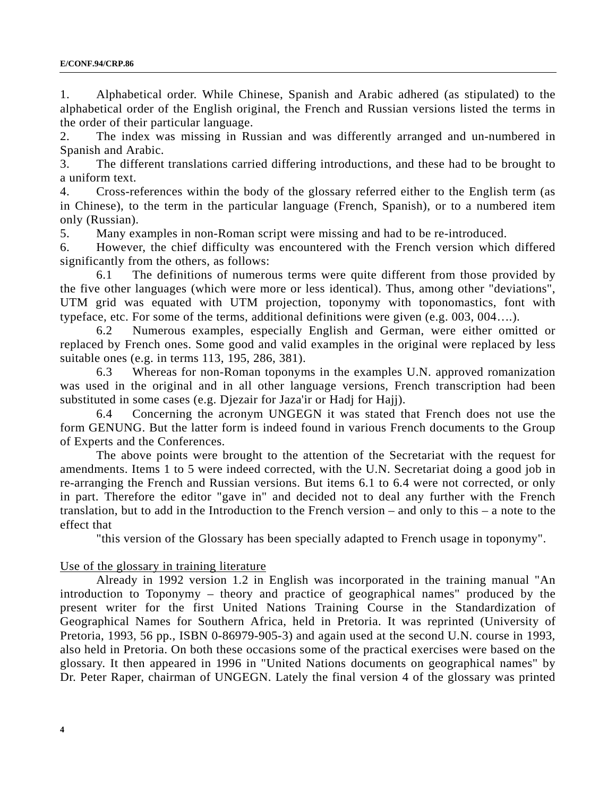1. Alphabetical order. While Chinese, Spanish and Arabic adhered (as stipulated) to the alphabetical order of the English original, the French and Russian versions listed the terms in the order of their particular language.

2. The index was missing in Russian and was differently arranged and un-numbered in Spanish and Arabic.

3. The different translations carried differing introductions, and these had to be brought to a uniform text.

4. Cross-references within the body of the glossary referred either to the English term (as in Chinese), to the term in the particular language (French, Spanish), or to a numbered item only (Russian).

5. Many examples in non-Roman script were missing and had to be re-introduced.

6. However, the chief difficulty was encountered with the French version which differed significantly from the others, as follows:

6.1 The definitions of numerous terms were quite different from those provided by the five other languages (which were more or less identical). Thus, among other "deviations", UTM grid was equated with UTM projection, toponymy with toponomastics, font with typeface, etc. For some of the terms, additional definitions were given (e.g. 003, 004….).

6.2 Numerous examples, especially English and German, were either omitted or replaced by French ones. Some good and valid examples in the original were replaced by less suitable ones (e.g. in terms 113, 195, 286, 381).

6.3 Whereas for non-Roman toponyms in the examples U.N. approved romanization was used in the original and in all other language versions, French transcription had been substituted in some cases (e.g. Djezair for Jaza'ir or Hadj for Hajj).

6.4 Concerning the acronym UNGEGN it was stated that French does not use the form GENUNG. But the latter form is indeed found in various French documents to the Group of Experts and the Conferences.

The above points were brought to the attention of the Secretariat with the request for amendments. Items 1 to 5 were indeed corrected, with the U.N. Secretariat doing a good job in re-arranging the French and Russian versions. But items 6.1 to 6.4 were not corrected, or only in part. Therefore the editor "gave in" and decided not to deal any further with the French translation, but to add in the Introduction to the French version – and only to this – a note to the effect that

"this version of the Glossary has been specially adapted to French usage in toponymy".

## Use of the glossary in training literature

Already in 1992 version 1.2 in English was incorporated in the training manual "An introduction to Toponymy – theory and practice of geographical names" produced by the present writer for the first United Nations Training Course in the Standardization of Geographical Names for Southern Africa, held in Pretoria. It was reprinted (University of Pretoria, 1993, 56 pp., ISBN 0-86979-905-3) and again used at the second U.N. course in 1993, also held in Pretoria. On both these occasions some of the practical exercises were based on the glossary. It then appeared in 1996 in "United Nations documents on geographical names" by Dr. Peter Raper, chairman of UNGEGN. Lately the final version 4 of the glossary was printed